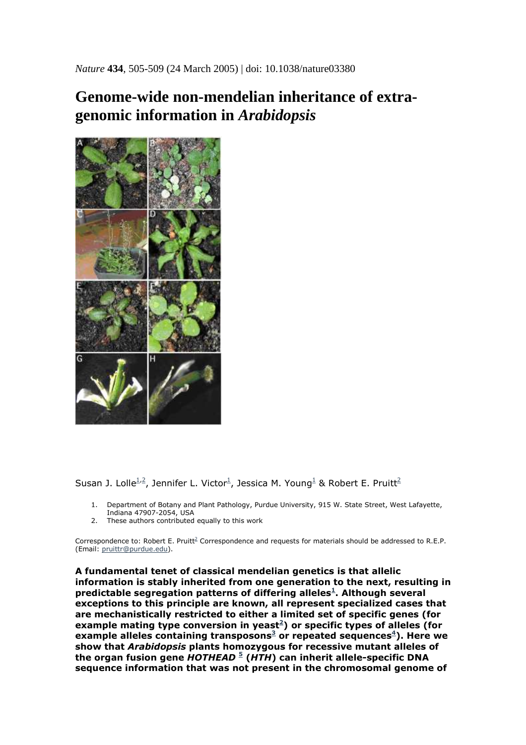*Nature* **434**, 505-509 (24 March 2005) | doi: 10.1038/nature03380

## **Genome-wide non-mendelian inheritance of extragenomic information in** *Arabidopsis*



Susan J. Lolle $^{1,2}$ , Jennifer L. Victor<sup>1</sup>, Jessica M. Young<sup>1</sup> & Robert E. Pruitt<sup>2</sup>

- 1. Department of Botany and Plant Pathology, Purdue University, 915 W. State Street, West Lafayette, Indiana 47907-2054, USA
- 2. These authors contributed equally to this work

Correspondence to: Robert E. Pruitt<sup>2</sup> Correspondence and requests for materials should be addressed to R.E.P. (Email: pruittr@purdue.edu).

**A fundamental tenet of classical mendelian genetics is that allelic information is stably inherited from one generation to the next, resulting in predictable segregation patterns of differing alleles<sup>1</sup> . Although several exceptions to this principle are known, all represent specialized cases that are mechanistically restricted to either a limited set of specific genes (for example mating type conversion in yeast<sup>2</sup> ) or specific types of alleles (for example alleles containing transposons<sup>3</sup> or repeated sequences<sup>4</sup> ). Here we show that** *Arabidopsis* **plants homozygous for recessive mutant alleles of the organ fusion gene** *HOTHEAD* **<sup>5</sup> (***HTH***) can inherit allele-specific DNA sequence information that was not present in the chromosomal genome of**